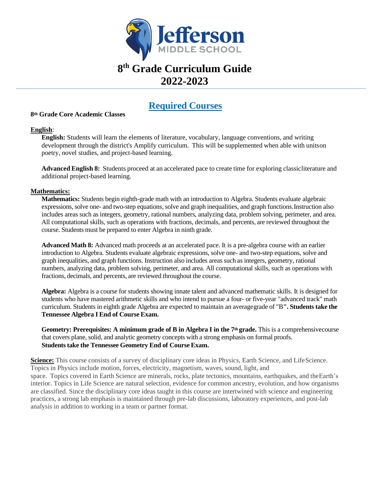

# **8 th Grade Curriculum Guide 2022-2023**

### **Required Courses**

#### **8th Grade Core Academic Classes**

#### **English**:

**English:** Students will learn the elements of literature, vocabulary, language conventions, and writing development through the district's Amplify curriculum. This will be supplemented when able with unitson poetry, novel studies, and project-based learning.

**Advanced English 8:** Students proceed at an accelerated pace to create time for exploring classicliterature and additional project-based learning.

#### **Mathematics:**

**Mathematics:** Students begin eighth-grade math with an introduction to Algebra. Students evaluate algebraic expressions, solve one- and two-step equations, solve and graph inequalities, and graph functions. Instruction also includes areas such as integers, geometry, rational numbers, analyzing data, problem solving, perimeter, and area. All computational skills, such as operations with fractions, decimals, and percents, are reviewed throughout the course. Students must be prepared to enter Algebra in ninth grade.

**Advanced Math 8:** Advanced math proceeds at an accelerated pace. It is a pre-algebra course with an earlier introduction to Algebra. Students evaluate algebraic expressions, solve one- and two-step equations, solve and graph inequalities, and graph functions. Instruction also includes areas such as integers, geometry, rational numbers, analyzing data, problem solving, perimeter, and area. All computational skills, such as operations with fractions, decimals, and percents, are reviewed throughout the course.

**Algebra:** Algebra is a course for students showing innate talent and advanced mathematic skills. It is designed for students who have mastered arithmetic skills and who intend to pursue a four- or five-year "advanced track" math curriculum. Students in eighth grade Algebra are expected to maintain an averagegrade of "B**". Students take the Tennessee Algebra I End of Course Exam.**

**Geometry: Prerequisites: A minimum grade of B in Algebra I in the 7th grade.** This is a comprehensivecourse that covers plane, solid, and analytic geometry concepts with a strong emphasis on formal proofs. **Studentstake the Tennessee Geometry End of Course Exam.**

**Science:** This course consists of a survey of disciplinary core ideas in Physics, Earth Science, and LifeScience. Topics in Physics include motion, forces, electricity, magnetism, waves, sound, light, and space. Topics covered in Earth Science are minerals, rocks, plate tectonics, mountains, earthquakes, and theEarth's interior. Topics in Life Science are natural selection, evidence for common ancestry, evolution, and how organisms are classified. Since the disciplinary core ideas taught in this course are intertwined with science and engineering practices, a strong lab emphasis is maintained through pre-lab discussions, laboratory experiences, and post-lab analysis in addition to working in a team or partner format.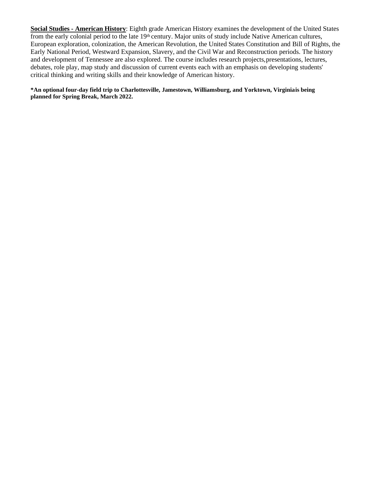**Social Studies - American History**: Eighth grade American History examines the development of the United States from the early colonial period to the late 19th century. Major units of study include Native American cultures, European exploration, colonization, the American Revolution, the United States Constitution and Bill of Rights, the Early National Period, Westward Expansion, Slavery, and the Civil War and Reconstruction periods. The history and development of Tennessee are also explored. The course includes research projects,presentations, lectures, debates, role play, map study and discussion of current events each with an emphasis on developing students' critical thinking and writing skills and their knowledge of American history.

**\*An optional four-day field trip to Charlottesville, Jamestown, Williamsburg, and Yorktown, Virginiais being planned for Spring Break, March 2022.**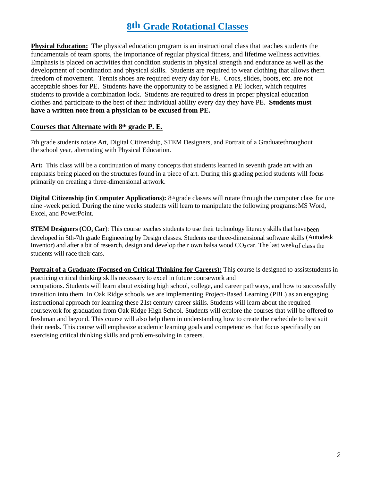## **8th Grade Rotational Classes**

**Physical Education:** The physical education program is an instructional class that teaches students the fundamentals of team sports, the importance of regular physical fitness, and lifetime wellness activities. Emphasis is placed on activities that condition students in physical strength and endurance as well as the development of coordination and physical skills. Students are required to wear clothing that allows them freedom of movement. Tennis shoes are required every day for PE. Crocs, slides, boots, etc. are not acceptable shoes for PE. Students have the opportunity to be assigned a PE locker, which requires students to provide a combination lock. Students are required to dress in proper physical education clothes and participate to the best of their individual ability every day they have PE. **Students must have a written note from a physician to be excused from PE.**

### **Courses that Alternate with 8th grade P. E.**

7th grade students rotate Art, Digital Citizenship, STEM Designers, and Portrait of a Graduatethroughout the school year, alternating with Physical Education.

**Art:** This class will be a continuation of many concepts that students learned in seventh grade art with an emphasis being placed on the structures found in a piece of art. During this grading period students will focus primarily on creating a three-dimensional artwork.

**Digital Citizenship (in Computer Applications):** 8<sup>th</sup> grade classes will rotate through the computer class for one nine -week period. During the nine weeks students will learn to manipulate the following programs:MS Word, Excel, and PowerPoint.

**STEM Designers (CO<sub>2</sub> Car**): This course teaches students to use their technology literacy skills that havebeen developed in 5th-7th grade Engineering by Design classes. Students use three-dimensional software skills (Autodesk Inventor) and after a bit of research, design and develop their own balsa wood  $CO<sub>2</sub>$  car. The last weekof class the students will race their cars.

**Portrait of a Graduate (Focused on Critical Thinking for Careers):** This course is designed to assiststudents in practicing critical thinking skills necessary to excel in future coursework and occupations. Students will learn about existing high school, college, and career pathways, and how to successfully transition into them. In Oak Ridge schools we are implementing Project-Based Learning (PBL) as an engaging instructional approach for learning these 21st century career skills. Students will learn about the required coursework for graduation from Oak Ridge High School. Students will explore the courses that will be offered to freshman and beyond. This course will also help them in understanding how to create theirschedule to best suit their needs. This course will emphasize academic learning goals and competencies that focus specifically on exercising critical thinking skills and problem-solving in careers.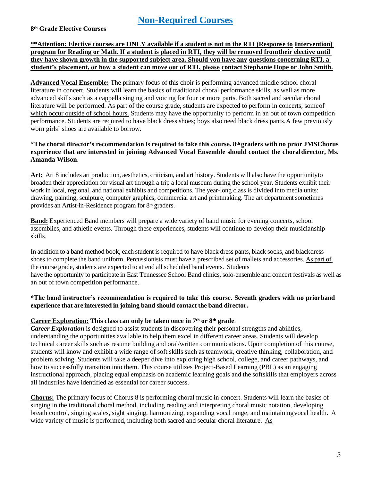## **Non-Required Courses**

**8th Grade Elective Courses**

#### **\*\*Attention: Elective courses are ONLY available if a student is not in the RTI (Response to Intervention) program for Reading or Math. If a student is placed in RTI, they will be removed fromtheir elective until they have shown growth in the supported subject area. Should you have any questions concerning RTI, a student's placement, or how a student can move out of RTI, please contact Stephanie Hope or John Smith.**

**Advanced Vocal Ensemble:** The primary focus of this choir is performing advanced middle school choral literature in concert. Students will learn the basics of traditional choral performance skills, as well as more advanced skills such as a cappella singing and voicing for four or more parts. Both sacred and secular choral literature will be performed. As part of the course grade, students are expected to perform in concerts, someof which occur outside of school hours. Students may have the opportunity to perform in an out of town competition performance. Students are required to have black dress shoes; boys also need black dress pants.A few previously worn girls' shoes are available to borrow.

#### **\*The choral director's recommendation is required to take this course. 8th graders with no prior JMSChorus experience that are interested in joining Advanced Vocal Ensemble should contact the choraldirector, Ms. Amanda Wilson**.

**Art:** Art 8 includes art production, aesthetics, criticism, and art history. Students will also have the opportunityto broaden their appreciation for visual art through a trip a local museum during the school year. Students exhibit their work in local, regional, and national exhibits and competitions. The year-long class is divided into media units: drawing, painting, sculpture, computer graphics, commercial art and printmaking. The art department sometimes provides an Artist-in-Residence program for 8th graders.

**Band:** Experienced Band members will prepare a wide variety of band music for evening concerts, school assemblies, and athletic events. Through these experiences, students will continue to develop their musicianship skills.

In addition to a band method book, each student is required to have black dress pants, black socks, and blackdress shoes to complete the band uniform. Percussionists must have a prescribed set of mallets and accessories. As part of the course grade, students are expected to attend all scheduled band events. Students have the opportunity to participate in East Tennessee School Band clinics, solo-ensemble and concert festivals as well as an out of town competition performance.

#### **\*The band instructor's recommendation is required to take this course. Seventh graders with no priorband experience that are interested in joining band should contact the band director.**

### **Career Exploration: This class can only be taken once in 7th or 8th grade**.

*Career Exploration* is designed to assist students in discovering their personal strengths and abilities, understanding the opportunities available to help them excel in different career areas. Students will develop technical career skills such as resume building and oral/written communications. Upon completion of this course, students will know and exhibit a wide range of soft skills such as teamwork, creative thinking, collaboration, and problem solving. Students will take a deeper dive into exploring high school, college, and career pathways, and how to successfully transition into them. This course utilizes Project-Based Learning (PBL) as an engaging instructional approach, placing equal emphasis on academic learning goals and the softskills that employers across all industries have identified as essential for career success.

**Chorus:** The primary focus of Chorus 8 is performing choral music in concert. Students will learn the basics of singing in the traditional choral method, including reading and interpreting choral music notation, developing breath control, singing scales, sight singing, harmonizing, expanding vocal range, and maintainingvocal health. A wide variety of music is performed, including both sacred and secular choral literature. As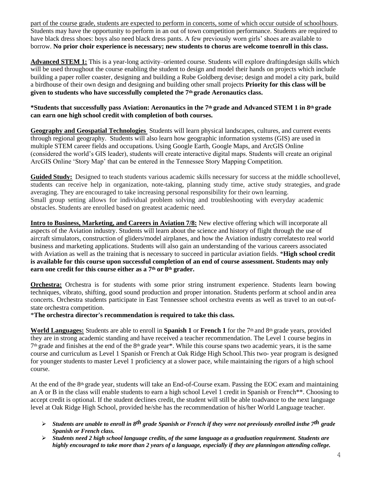part of the course grade, students are expected to perform in concerts, some of which occur outside of schoolhours. Students may have the opportunity to perform in an out of town competition performance. Students are required to have black dress shoes: boys also need black dress pants. A few previously worn girls' shoes are available to borrow. **No prior choir experience is necessary; new students to chorus are welcome toenroll in this class.**

**Advanced STEM 1:** This is a year-long activity–oriented course. Students will explore draftingdesign skills which will be used throughout the course enabling the student to design and model their hands on projects which include building a paper roller coaster, designing and building a Rube Goldberg devise; design and model a city park, build a birdhouse of their own design and designing and building other small projects **Priority for this class will be given to students who have successfully completed the 7th grade Aeronautics class.**

#### **\*Students that successfully pass Aviation: Aeronautics in the 7th grade and Advanced STEM 1 in 8th grade can earn one high school credit with completion of both courses.**

**Geography and Geospatial Technologies** Students will learn physical landscapes, cultures, and current events through regional geography. Students will also learn how geographic information systems (GIS) are used in multiple STEM career fields and occupations. Using Google Earth, Google Maps, and ArcGIS Online (considered the world's GIS leader), students will create interactive digital maps. Students will create an original ArcGIS Online 'Story Map' that can be entered in the Tennessee Story Mapping Competition.

**Guided Study:** Designed to teach students various academic skills necessary for success at the middle schoollevel, students can receive help in organization, note-taking, planning study time, active study strategies, and grade averaging. They are encouraged to take increasing personal responsibility for their own learning. Small group setting allows for individual problem solving and troubleshooting with everyday academic obstacles. Students are enrolled based on greatest academic need.

**Intro to Business, Marketing, and Careers in Aviation 7/8:** New elective offering which will incorporate all aspects of the Aviation industry. Students will learn about the science and history of flight through the use of aircraft simulators, construction of gliders/model airplanes, and how the Aviation industry correlatesto real world business and marketing applications. Students will also gain an understanding of the various careers associated with Aviation as well as the training that is necessary to succeed in particular aviation fields. \***High school credit is available for this course upon successful completion of an end of course assessment. Students may only earn one credit for this course either as a 7th or 8th grader.**

**Orchestra:** Orchestra is for students with some prior string instrument experience. Students learn bowing techniques, vibrato, shifting, good sound production and proper intonation. Students perform at school andin area concerts. Orchestra students participate in East Tennessee school orchestra events as well as travel to an out-ofstate orchestra competition.

\***The orchestra director's recommendation is required to take this class.**

**World Languages:** Students are able to enroll in **Spanish 1** or **French 1** for the 7th and 8th grade years, provided they are in strong academic standing and have received a teacher recommendation. The Level 1 course begins in  $7<sup>th</sup>$  grade and finishes at the end of the 8<sup>th</sup> grade year<sup>\*</sup>. While this course spans two academic years, it is the same course and curriculum as Level 1 Spanish or French at Oak Ridge High School.This two- year program is designed for younger students to master Level 1 proficiency at a slower pace, while maintaining the rigors of a high school course.

At the end of the 8th grade year, students will take an End-of-Course exam. Passing the EOC exam and maintaining an A or B in the class will enable students to earn a high school Level 1 credit in Spanish or French\*\*. Choosing to accept credit is optional. If the student declines credit, the student will still be able toadvance to the next language level at Oak Ridge High School, provided he/she has the recommendation of his/her World Language teacher.

- ➢ *Students are unable to enroll in 8th grade Spanish or French if they were not previously enrolled inthe 7 th grade Spanish or French class.*
- ➢ *Students need 2 high school language credits, of the same language as a graduation requirement. Students are highly encouraged to take more than 2 years of a language, especially if they are planningon attending college.*